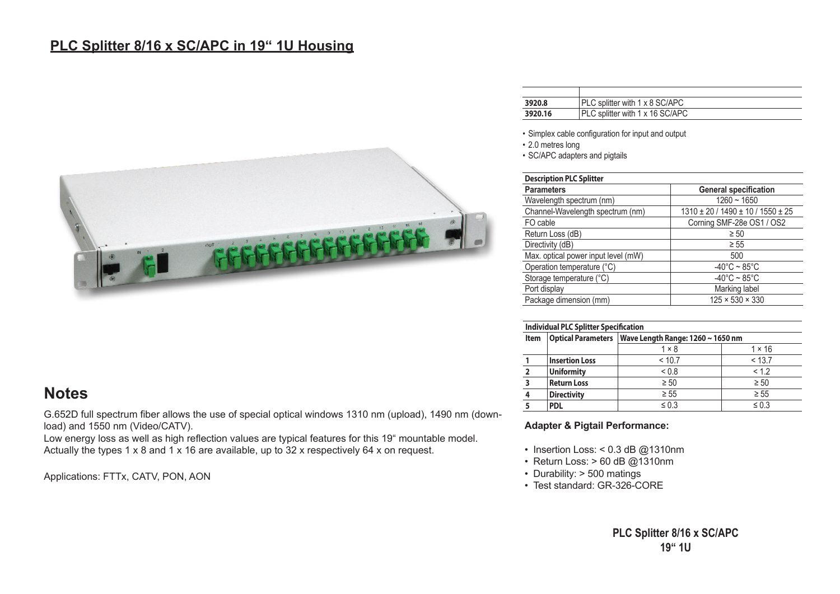## **PLC Splitter 8/16 x SC/APC in 19" 1U Housing**



| <b>Note</b> |  |
|-------------|--|
|-------------|--|

G.652D full spectrum fiber allows the use of special optical windows 1310 nm (upload), 1490 nm (download) and 1550 nm (Video/CATV).

Low energy loss as well as high reflection values are typical features for this 19" mountable model. Actually the types 1 x 8 and 1 x 16 are available, up to 32 x respectively 64 x on request.

Applications: FTTx, CATV, PON, AON

| 3920.8  | PLC splitter with 1 x 8 SC/APC  |
|---------|---------------------------------|
| 3920.16 | PLC splitter with 1 x 16 SC/APC |
|         |                                 |

• Simplex cable configuration for input and output

• 2.0 metres long

• SC/APC adapters and pigtails

| <b>Description PLC Splitter</b>     |                                               |  |  |  |
|-------------------------------------|-----------------------------------------------|--|--|--|
| <b>Parameters</b>                   | <b>General specification</b>                  |  |  |  |
| Wavelength spectrum (nm)            | $1260 - 1650$                                 |  |  |  |
| Channel-Wavelength spectrum (nm)    | $1310 \pm 20$ / $1490 \pm 10$ / $1550 \pm 25$ |  |  |  |
| FO cable                            | Corning SMF-28e OS1 / OS2                     |  |  |  |
| Return Loss (dB)                    | $\geq 50$                                     |  |  |  |
| Directivity (dB)                    | $\geq 55$                                     |  |  |  |
| Max. optical power input level (mW) | 500                                           |  |  |  |
| Operation temperature (°C)          | $-40^{\circ}$ C ~ 85 $^{\circ}$ C             |  |  |  |
| Storage temperature (°C)            | $-40^{\circ}$ C ~ 85 $^{\circ}$ C             |  |  |  |
| Port display                        | Marking label                                 |  |  |  |
| Package dimension (mm)              | $125 \times 530 \times 330$                   |  |  |  |

## **Individual PLC Splitter Specification**

| Item | <b>Optical Parameters</b> | Wave Length Range: $1260 \sim 1650$ nm |               |  |
|------|---------------------------|----------------------------------------|---------------|--|
|      |                           | $1 \times 8$                           | $1 \times 16$ |  |
|      | <b>Insertion Loss</b>     | < 10.7                                 | < 13.7        |  |
|      | <b>Uniformity</b>         | ${}_{0.8}$                             | < 1.2         |  |
|      | <b>Return Loss</b>        | $\geq 50$                              | $\geq 50$     |  |
|      | <b>Directivity</b>        | $\geq 55$                              | $\geq 55$     |  |
|      | <b>PDL</b>                | $\leq 0.3$                             | $\leq 0.3$    |  |

## **Adapter & Pigtail Performance:**

- Insertion Loss: < 0.3 dB @1310nm
- Return Loss:  $> 60$  dB @1310nm
- Durability: > 500 matings
- Test standard: GR-326-CORE